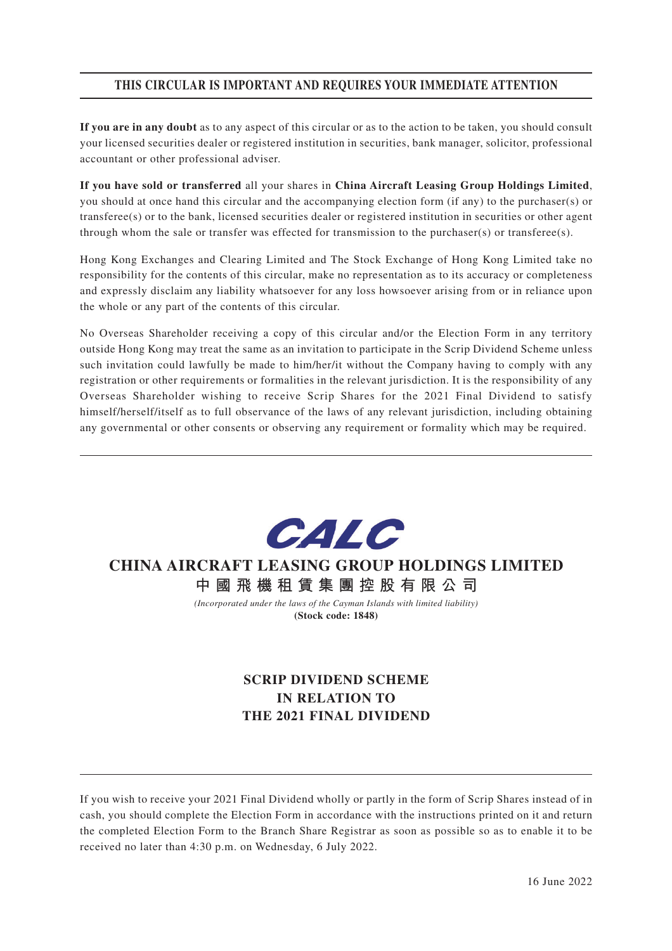## **THIS CIRCULAR IS IMPORTANT AND REQUIRES YOUR IMMEDIATE ATTENTION**

**If you are in any doubt** as to any aspect of this circular or as to the action to be taken, you should consult your licensed securities dealer or registered institution in securities, bank manager, solicitor, professional accountant or other professional adviser.

**If you have sold or transferred** all your shares in **China Aircraft Leasing Group Holdings Limited**, you should at once hand this circular and the accompanying election form (if any) to the purchaser(s) or transferee(s) or to the bank, licensed securities dealer or registered institution in securities or other agent through whom the sale or transfer was effected for transmission to the purchaser(s) or transferee(s).

Hong Kong Exchanges and Clearing Limited and The Stock Exchange of Hong Kong Limited take no responsibility for the contents of this circular, make no representation as to its accuracy or completeness and expressly disclaim any liability whatsoever for any loss howsoever arising from or in reliance upon the whole or any part of the contents of this circular.

No Overseas Shareholder receiving a copy of this circular and/or the Election Form in any territory outside Hong Kong may treat the same as an invitation to participate in the Scrip Dividend Scheme unless such invitation could lawfully be made to him/her/it without the Company having to comply with any registration or other requirements or formalities in the relevant jurisdiction. It is the responsibility of any Overseas Shareholder wishing to receive Scrip Shares for the 2021 Final Dividend to satisfy himself/herself/itself as to full observance of the laws of any relevant jurisdiction, including obtaining any governmental or other consents or observing any requirement or formality which may be required.



# **CHINA AIRCRAFT LEASING GROUP HOLDINGS LIMITED 中國飛機租賃集團控股有限公司**

*(Incorporated under the laws of the Cayman Islands with limited liability)* **(Stock code: 1848)**

# **SCRIP DIVIDEND SCHEME IN RELATION TO THE 2021 FINAL DIVIDEND**

If you wish to receive your 2021 Final Dividend wholly or partly in the form of Scrip Shares instead of in cash, you should complete the Election Form in accordance with the instructions printed on it and return the completed Election Form to the Branch Share Registrar as soon as possible so as to enable it to be received no later than 4:30 p.m. on Wednesday, 6 July 2022.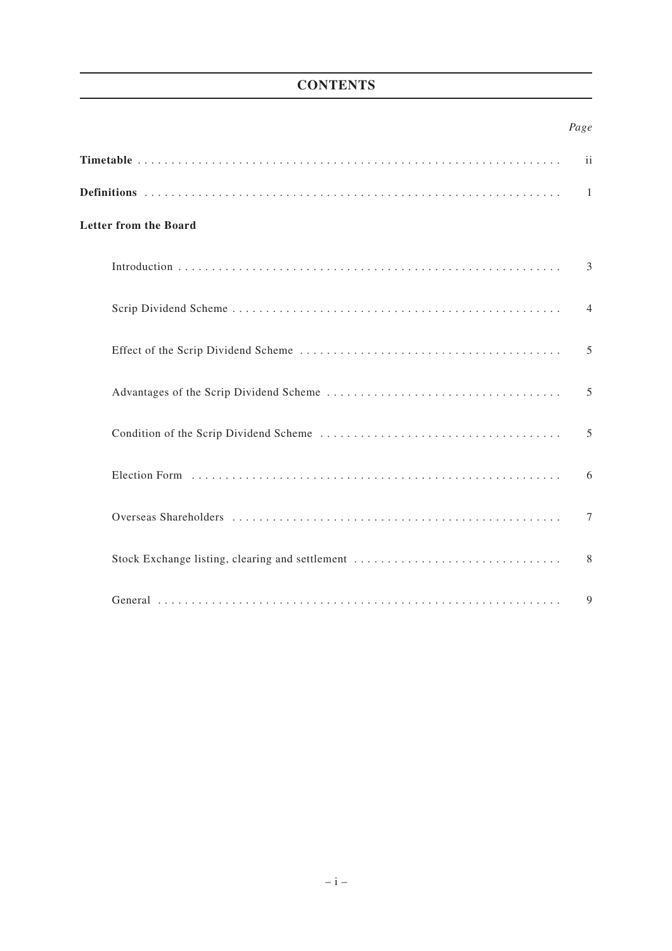# **CONTENTS**

## *Page*

| $\mathbf{ii}$                |                                                 |        |  |  |  |
|------------------------------|-------------------------------------------------|--------|--|--|--|
| 1                            |                                                 |        |  |  |  |
| <b>Letter from the Board</b> |                                                 |        |  |  |  |
|                              |                                                 | 3      |  |  |  |
|                              |                                                 | 4      |  |  |  |
|                              |                                                 | 5      |  |  |  |
|                              |                                                 | 5      |  |  |  |
|                              |                                                 | 5      |  |  |  |
|                              |                                                 | 6      |  |  |  |
|                              |                                                 | $\tau$ |  |  |  |
|                              | Stock Exchange listing, clearing and settlement | 8      |  |  |  |
|                              |                                                 | 9      |  |  |  |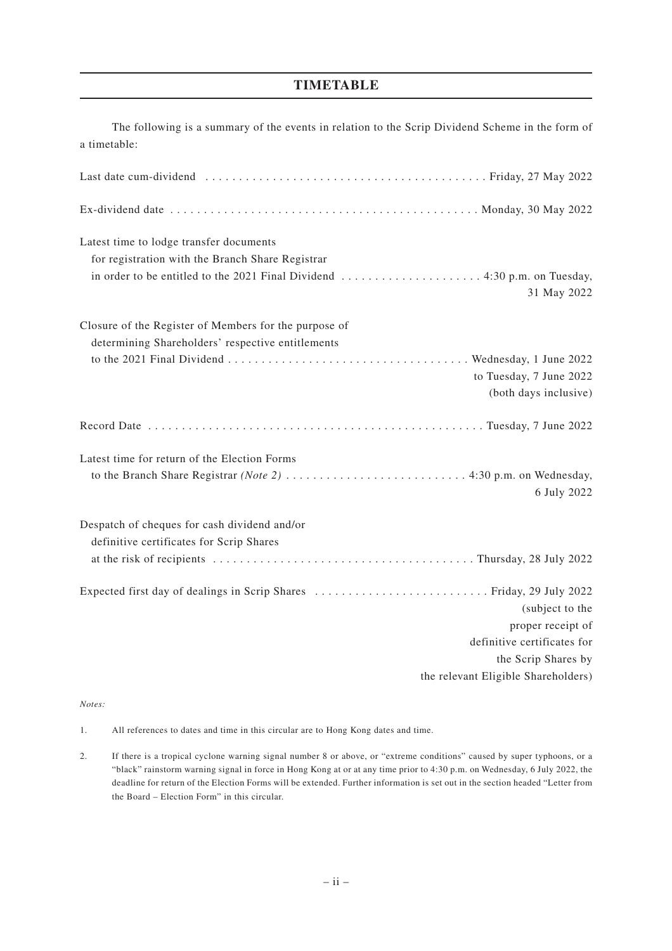## **TIMETABLE**

| The following is a summary of the events in relation to the Scrip Dividend Scheme in the form of |
|--------------------------------------------------------------------------------------------------|
| a timetable:                                                                                     |
|                                                                                                  |
|                                                                                                  |
| Latest time to lodge transfer documents                                                          |
| for registration with the Branch Share Registrar                                                 |
| 31 May 2022                                                                                      |
| Closure of the Register of Members for the purpose of                                            |
| determining Shareholders' respective entitlements                                                |
|                                                                                                  |
| to Tuesday, 7 June 2022                                                                          |
| (both days inclusive)                                                                            |
|                                                                                                  |
| Latest time for return of the Election Forms                                                     |
|                                                                                                  |
| 6 July 2022                                                                                      |
| Despatch of cheques for cash dividend and/or                                                     |
| definitive certificates for Scrip Shares                                                         |
|                                                                                                  |
| Expected first day of dealings in Scrip Shares  Friday, 29 July 2022                             |
| (subject to the                                                                                  |
| proper receipt of                                                                                |
| definitive certificates for                                                                      |
| the Scrip Shares by                                                                              |
| the relevant Eligible Shareholders)                                                              |

#### *Notes:*

1. All references to dates and time in this circular are to Hong Kong dates and time.

2. If there is a tropical cyclone warning signal number 8 or above, or "extreme conditions" caused by super typhoons, or a "black" rainstorm warning signal in force in Hong Kong at or at any time prior to 4:30 p.m. on Wednesday, 6 July 2022, the deadline for return of the Election Forms will be extended. Further information is set out in the section headed "Letter from the Board – Election Form" in this circular.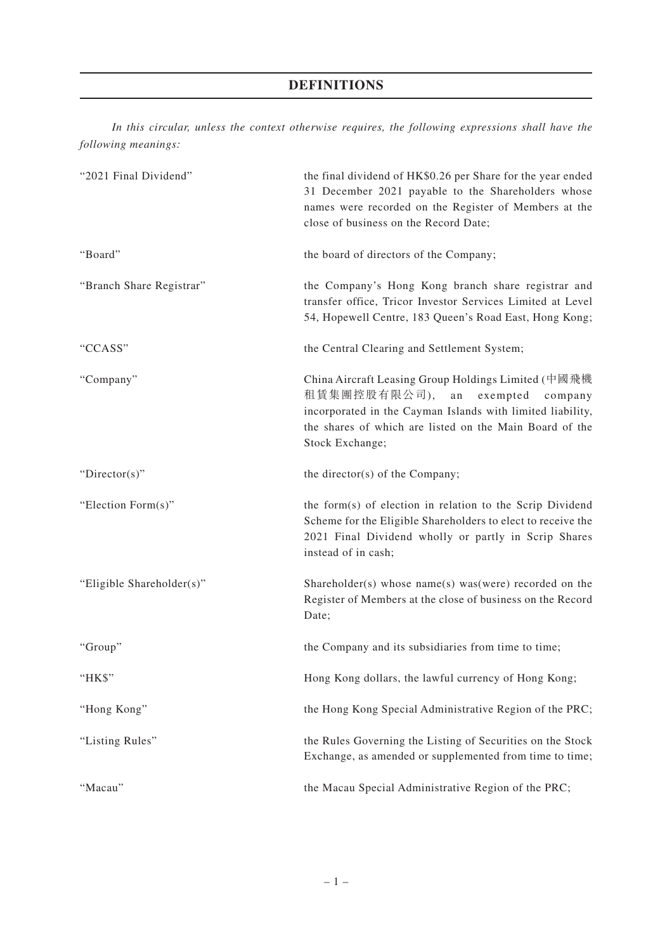# **DEFINITIONS**

*In this circular, unless the context otherwise requires, the following expressions shall have the following meanings:*

| "2021 Final Dividend"     | the final dividend of HK\$0.26 per Share for the year ended<br>31 December 2021 payable to the Shareholders whose<br>names were recorded on the Register of Members at the<br>close of business on the Record Date;                                  |  |  |  |
|---------------------------|------------------------------------------------------------------------------------------------------------------------------------------------------------------------------------------------------------------------------------------------------|--|--|--|
| "Board"                   | the board of directors of the Company;                                                                                                                                                                                                               |  |  |  |
| "Branch Share Registrar"  | the Company's Hong Kong branch share registrar and<br>transfer office, Tricor Investor Services Limited at Level<br>54, Hopewell Centre, 183 Queen's Road East, Hong Kong;                                                                           |  |  |  |
| "CCASS"                   | the Central Clearing and Settlement System;                                                                                                                                                                                                          |  |  |  |
| "Company"                 | China Aircraft Leasing Group Holdings Limited (中國飛機<br>租賃集團控股有限公司),<br>${\rm an}$<br>exempted<br>company<br>incorporated in the Cayman Islands with limited liability,<br>the shares of which are listed on the Main Board of the<br>Stock Exchange; |  |  |  |
| " $Directory$ "           | the director(s) of the Company;                                                                                                                                                                                                                      |  |  |  |
| "Election Form(s)"        | the form(s) of election in relation to the Scrip Dividend<br>Scheme for the Eligible Shareholders to elect to receive the<br>2021 Final Dividend wholly or partly in Scrip Shares<br>instead of in cash;                                             |  |  |  |
| "Eligible Shareholder(s)" | Shareholder(s) whose $name(s)$ was(were) recorded on the<br>Register of Members at the close of business on the Record<br>Date;                                                                                                                      |  |  |  |
| "Group"                   | the Company and its subsidiaries from time to time;                                                                                                                                                                                                  |  |  |  |
| "HK\$"                    | Hong Kong dollars, the lawful currency of Hong Kong;                                                                                                                                                                                                 |  |  |  |
| "Hong Kong"               | the Hong Kong Special Administrative Region of the PRC;                                                                                                                                                                                              |  |  |  |
| "Listing Rules"           | the Rules Governing the Listing of Securities on the Stock<br>Exchange, as amended or supplemented from time to time;                                                                                                                                |  |  |  |
| "Macau"                   | the Macau Special Administrative Region of the PRC;                                                                                                                                                                                                  |  |  |  |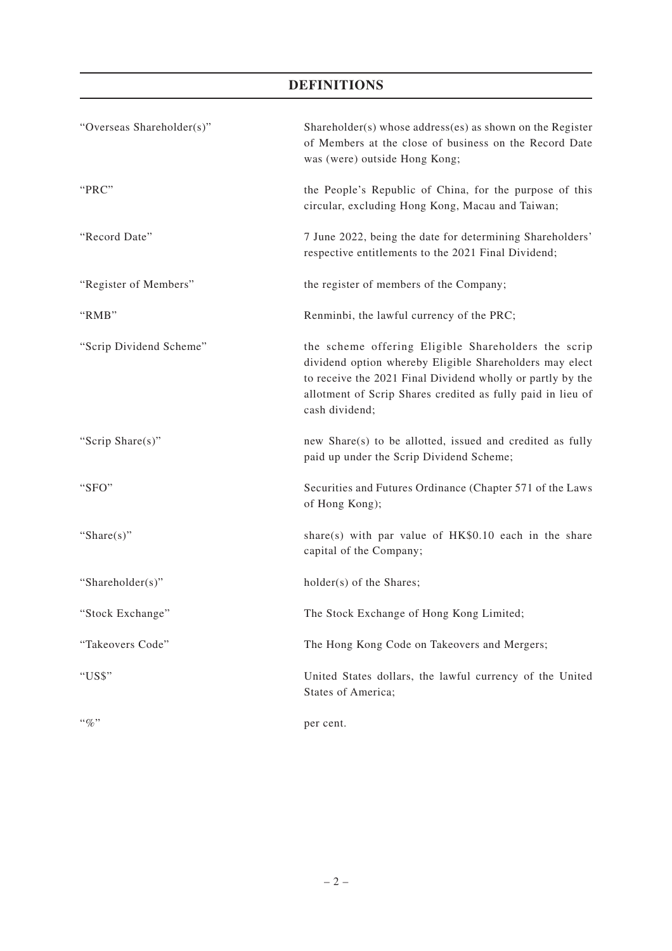# **DEFINITIONS**

| "Overseas Shareholder(s)" | Shareholder(s) whose address(es) as shown on the Register<br>of Members at the close of business on the Record Date<br>was (were) outside Hong Kong;                                                                                                          |  |  |  |
|---------------------------|---------------------------------------------------------------------------------------------------------------------------------------------------------------------------------------------------------------------------------------------------------------|--|--|--|
| "PRC"                     | the People's Republic of China, for the purpose of this<br>circular, excluding Hong Kong, Macau and Taiwan;                                                                                                                                                   |  |  |  |
| "Record Date"             | 7 June 2022, being the date for determining Shareholders'<br>respective entitlements to the 2021 Final Dividend;                                                                                                                                              |  |  |  |
| "Register of Members"     | the register of members of the Company;                                                                                                                                                                                                                       |  |  |  |
| "RMB"                     | Renminbi, the lawful currency of the PRC;                                                                                                                                                                                                                     |  |  |  |
| "Scrip Dividend Scheme"   | the scheme offering Eligible Shareholders the scrip<br>dividend option whereby Eligible Shareholders may elect<br>to receive the 2021 Final Dividend wholly or partly by the<br>allotment of Scrip Shares credited as fully paid in lieu of<br>cash dividend; |  |  |  |
| "Scrip Share(s)"          | new Share(s) to be allotted, issued and credited as fully<br>paid up under the Scrip Dividend Scheme;                                                                                                                                                         |  |  |  |
| "SFO"                     | Securities and Futures Ordinance (Chapter 571 of the Laws<br>of Hong Kong);                                                                                                                                                                                   |  |  |  |
| "Share $(s)$ "            | share(s) with par value of $HK$0.10$ each in the share<br>capital of the Company;                                                                                                                                                                             |  |  |  |
| "Shareholder(s)"          | holder(s) of the Shares;                                                                                                                                                                                                                                      |  |  |  |
| "Stock Exchange"          | The Stock Exchange of Hong Kong Limited;                                                                                                                                                                                                                      |  |  |  |
| "Takeovers Code"          | The Hong Kong Code on Takeovers and Mergers;                                                                                                                                                                                                                  |  |  |  |
| "US\$"                    | United States dollars, the lawful currency of the United<br>States of America;                                                                                                                                                                                |  |  |  |
| $``\%"$                   | per cent.                                                                                                                                                                                                                                                     |  |  |  |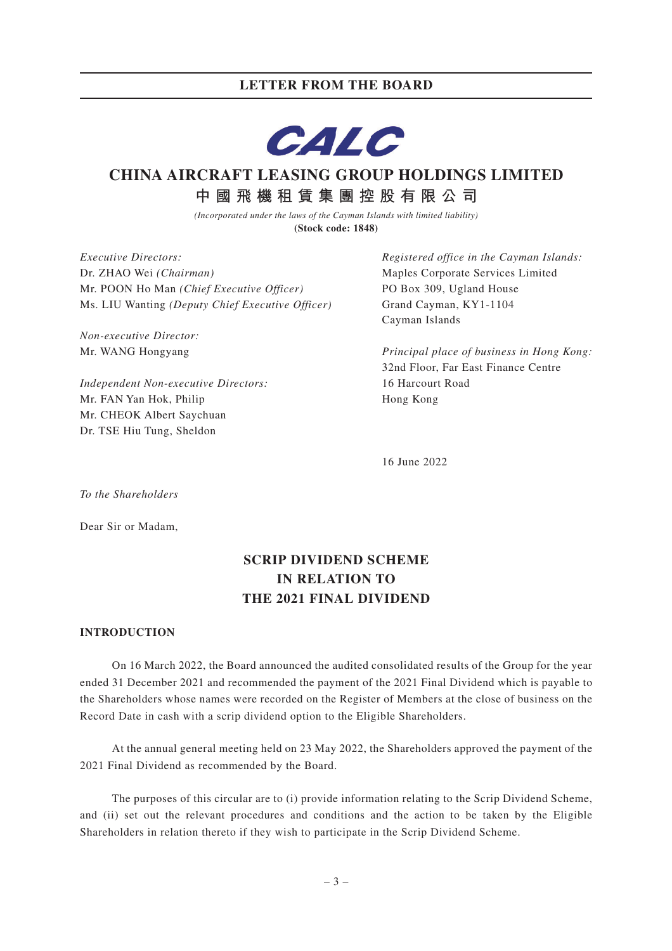

# **CHINA AIRCRAFT LEASING GROUP HOLDINGS LIMITED 中國飛機租賃集團控股有限公司**

*(Incorporated under the laws of the Cayman Islands with limited liability)* **(Stock code: 1848)**

*Executive Directors:* Dr. ZHAO Wei *(Chairman)* Mr. POON Ho Man *(Chief Executive Officer)* Ms. LIU Wanting *(Deputy Chief Executive Officer)*

*Non-executive Director:* Mr. WANG Hongyang

*Independent Non-executive Directors:* Mr. FAN Yan Hok, Philip Mr. CHEOK Albert Saychuan Dr. TSE Hiu Tung, Sheldon

*Registered office in the Cayman Islands:* Maples Corporate Services Limited PO Box 309, Ugland House Grand Cayman, KY1-1104 Cayman Islands

*Principal place of business in Hong Kong:* 32nd Floor, Far East Finance Centre 16 Harcourt Road Hong Kong

16 June 2022

*To the Shareholders*

Dear Sir or Madam,

# **SCRIP DIVIDEND SCHEME IN RELATION TO THE 2021 FINAL DIVIDEND**

### **INTRODUCTION**

On 16 March 2022, the Board announced the audited consolidated results of the Group for the year ended 31 December 2021 and recommended the payment of the 2021 Final Dividend which is payable to the Shareholders whose names were recorded on the Register of Members at the close of business on the Record Date in cash with a scrip dividend option to the Eligible Shareholders.

At the annual general meeting held on 23 May 2022, the Shareholders approved the payment of the 2021 Final Dividend as recommended by the Board.

The purposes of this circular are to (i) provide information relating to the Scrip Dividend Scheme, and (ii) set out the relevant procedures and conditions and the action to be taken by the Eligible Shareholders in relation thereto if they wish to participate in the Scrip Dividend Scheme.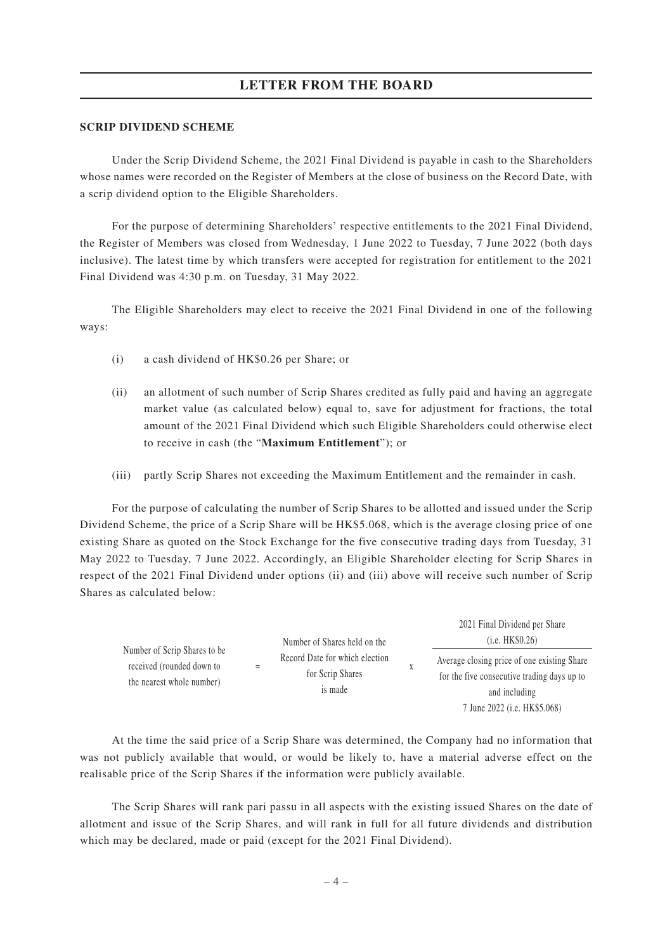#### **SCRIP DIVIDEND SCHEME**

Under the Scrip Dividend Scheme, the 2021 Final Dividend is payable in cash to the Shareholders whose names were recorded on the Register of Members at the close of business on the Record Date, with a scrip dividend option to the Eligible Shareholders.

For the purpose of determining Shareholders' respective entitlements to the 2021 Final Dividend, the Register of Members was closed from Wednesday, 1 June 2022 to Tuesday, 7 June 2022 (both days inclusive). The latest time by which transfers were accepted for registration for entitlement to the 2021 Final Dividend was 4:30 p.m. on Tuesday, 31 May 2022.

The Eligible Shareholders may elect to receive the 2021 Final Dividend in one of the following ways:

- (i) a cash dividend of HK\$0.26 per Share; or
- (ii) an allotment of such number of Scrip Shares credited as fully paid and having an aggregate market value (as calculated below) equal to, save for adjustment for fractions, the total amount of the 2021 Final Dividend which such Eligible Shareholders could otherwise elect to receive in cash (the "**Maximum Entitlement**"); or
- (iii) partly Scrip Shares not exceeding the Maximum Entitlement and the remainder in cash.

For the purpose of calculating the number of Scrip Shares to be allotted and issued under the Scrip Dividend Scheme, the price of a Scrip Share will be HK\$5.068, which is the average closing price of one existing Share as quoted on the Stock Exchange for the five consecutive trading days from Tuesday, 31 May 2022 to Tuesday, 7 June 2022. Accordingly, an Eligible Shareholder electing for Scrip Shares in respect of the 2021 Final Dividend under options (ii) and (iii) above will receive such number of Scrip Shares as calculated below:

|                                                                                        | Number of Shares held on the | 2021 Final Dividend per Share<br>(i.e. HK \$0.26)             |                                                                                                                                             |
|----------------------------------------------------------------------------------------|------------------------------|---------------------------------------------------------------|---------------------------------------------------------------------------------------------------------------------------------------------|
| Number of Scrip Shares to be<br>received (rounded down to<br>the nearest whole number) | Ξ                            | Record Date for which election<br>for Scrip Shares<br>is made | Average closing price of one existing Share<br>for the five consecutive trading days up to<br>and including<br>7 June 2022 (i.e. HK\$5.068) |

At the time the said price of a Scrip Share was determined, the Company had no information that was not publicly available that would, or would be likely to, have a material adverse effect on the realisable price of the Scrip Shares if the information were publicly available.

The Scrip Shares will rank pari passu in all aspects with the existing issued Shares on the date of allotment and issue of the Scrip Shares, and will rank in full for all future dividends and distribution which may be declared, made or paid (except for the 2021 Final Dividend).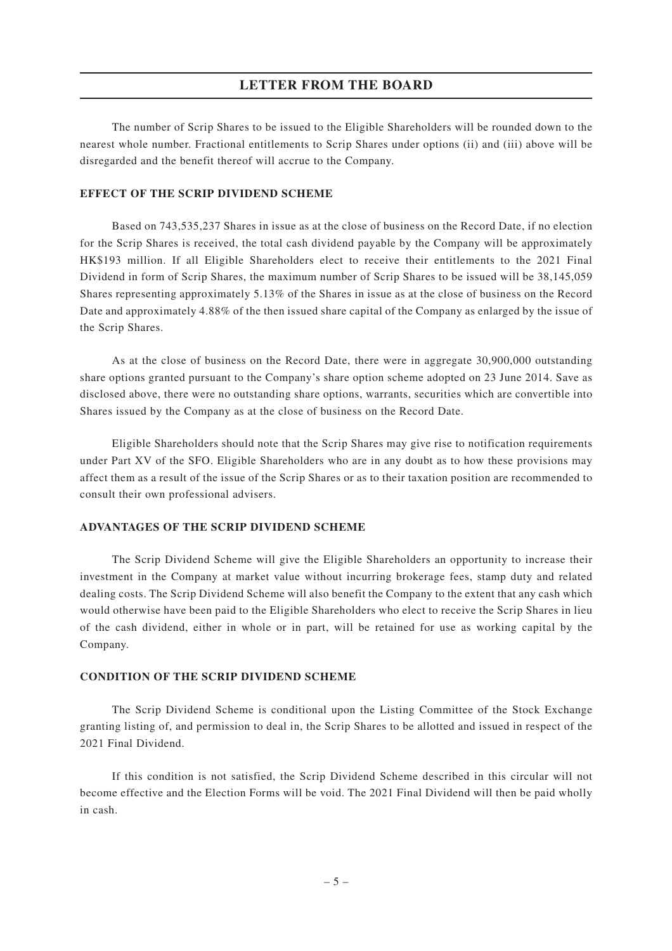The number of Scrip Shares to be issued to the Eligible Shareholders will be rounded down to the nearest whole number. Fractional entitlements to Scrip Shares under options (ii) and (iii) above will be disregarded and the benefit thereof will accrue to the Company.

### **EFFECT OF THE SCRIP DIVIDEND SCHEME**

Based on 743,535,237 Shares in issue as at the close of business on the Record Date, if no election for the Scrip Shares is received, the total cash dividend payable by the Company will be approximately HK\$193 million. If all Eligible Shareholders elect to receive their entitlements to the 2021 Final Dividend in form of Scrip Shares, the maximum number of Scrip Shares to be issued will be 38,145,059 Shares representing approximately 5.13% of the Shares in issue as at the close of business on the Record Date and approximately 4.88% of the then issued share capital of the Company as enlarged by the issue of the Scrip Shares.

As at the close of business on the Record Date, there were in aggregate 30,900,000 outstanding share options granted pursuant to the Company's share option scheme adopted on 23 June 2014. Save as disclosed above, there were no outstanding share options, warrants, securities which are convertible into Shares issued by the Company as at the close of business on the Record Date.

Eligible Shareholders should note that the Scrip Shares may give rise to notification requirements under Part XV of the SFO. Eligible Shareholders who are in any doubt as to how these provisions may affect them as a result of the issue of the Scrip Shares or as to their taxation position are recommended to consult their own professional advisers.

### **ADVANTAGES OF THE SCRIP DIVIDEND SCHEME**

The Scrip Dividend Scheme will give the Eligible Shareholders an opportunity to increase their investment in the Company at market value without incurring brokerage fees, stamp duty and related dealing costs. The Scrip Dividend Scheme will also benefit the Company to the extent that any cash which would otherwise have been paid to the Eligible Shareholders who elect to receive the Scrip Shares in lieu of the cash dividend, either in whole or in part, will be retained for use as working capital by the Company.

### **CONDITION OF THE SCRIP DIVIDEND SCHEME**

The Scrip Dividend Scheme is conditional upon the Listing Committee of the Stock Exchange granting listing of, and permission to deal in, the Scrip Shares to be allotted and issued in respect of the 2021 Final Dividend.

If this condition is not satisfied, the Scrip Dividend Scheme described in this circular will not become effective and the Election Forms will be void. The 2021 Final Dividend will then be paid wholly in cash.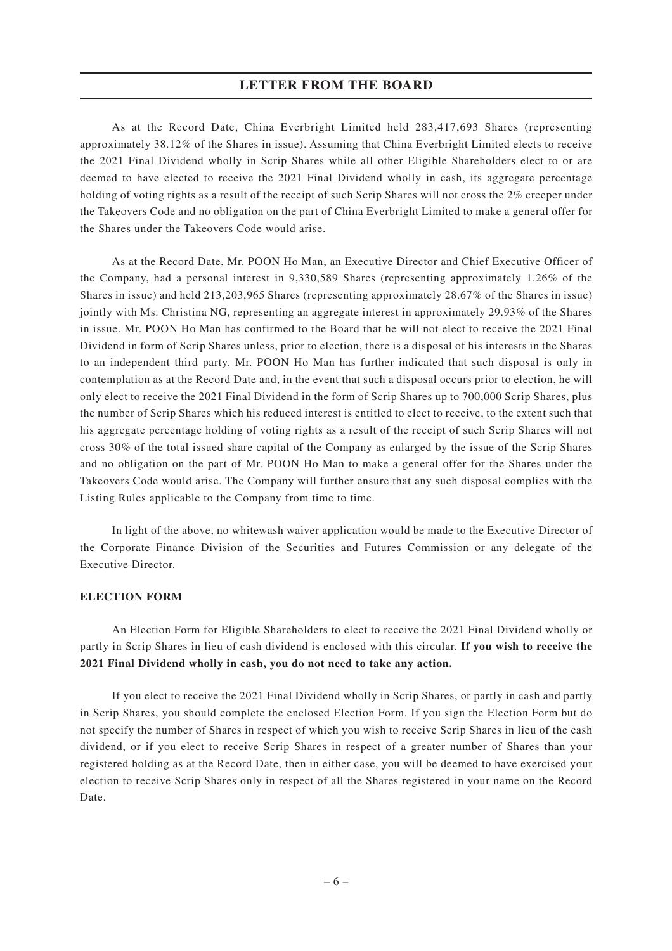As at the Record Date, China Everbright Limited held 283,417,693 Shares (representing approximately 38.12% of the Shares in issue). Assuming that China Everbright Limited elects to receive the 2021 Final Dividend wholly in Scrip Shares while all other Eligible Shareholders elect to or are deemed to have elected to receive the 2021 Final Dividend wholly in cash, its aggregate percentage holding of voting rights as a result of the receipt of such Scrip Shares will not cross the 2% creeper under the Takeovers Code and no obligation on the part of China Everbright Limited to make a general offer for the Shares under the Takeovers Code would arise.

As at the Record Date, Mr. POON Ho Man, an Executive Director and Chief Executive Officer of the Company, had a personal interest in 9,330,589 Shares (representing approximately 1.26% of the Shares in issue) and held 213,203,965 Shares (representing approximately 28.67% of the Shares in issue) jointly with Ms. Christina NG, representing an aggregate interest in approximately 29.93% of the Shares in issue. Mr. POON Ho Man has confirmed to the Board that he will not elect to receive the 2021 Final Dividend in form of Scrip Shares unless, prior to election, there is a disposal of his interests in the Shares to an independent third party. Mr. POON Ho Man has further indicated that such disposal is only in contemplation as at the Record Date and, in the event that such a disposal occurs prior to election, he will only elect to receive the 2021 Final Dividend in the form of Scrip Shares up to 700,000 Scrip Shares, plus the number of Scrip Shares which his reduced interest is entitled to elect to receive, to the extent such that his aggregate percentage holding of voting rights as a result of the receipt of such Scrip Shares will not cross 30% of the total issued share capital of the Company as enlarged by the issue of the Scrip Shares and no obligation on the part of Mr. POON Ho Man to make a general offer for the Shares under the Takeovers Code would arise. The Company will further ensure that any such disposal complies with the Listing Rules applicable to the Company from time to time.

In light of the above, no whitewash waiver application would be made to the Executive Director of the Corporate Finance Division of the Securities and Futures Commission or any delegate of the Executive Director.

### **ELECTION FORM**

An Election Form for Eligible Shareholders to elect to receive the 2021 Final Dividend wholly or partly in Scrip Shares in lieu of cash dividend is enclosed with this circular. **If you wish to receive the 2021 Final Dividend wholly in cash, you do not need to take any action.**

If you elect to receive the 2021 Final Dividend wholly in Scrip Shares, or partly in cash and partly in Scrip Shares, you should complete the enclosed Election Form. If you sign the Election Form but do not specify the number of Shares in respect of which you wish to receive Scrip Shares in lieu of the cash dividend, or if you elect to receive Scrip Shares in respect of a greater number of Shares than your registered holding as at the Record Date, then in either case, you will be deemed to have exercised your election to receive Scrip Shares only in respect of all the Shares registered in your name on the Record Date.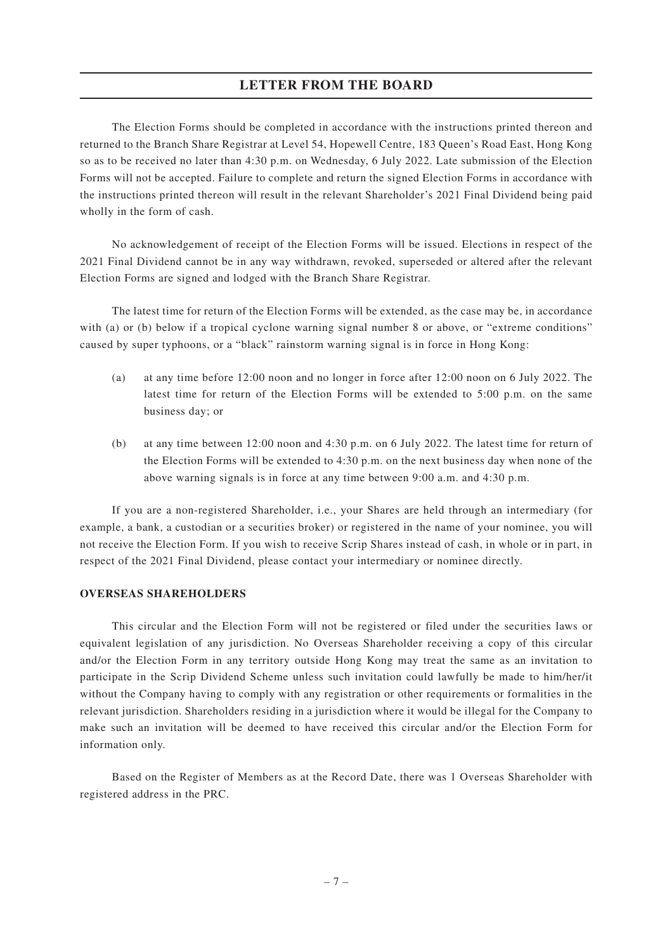The Election Forms should be completed in accordance with the instructions printed thereon and returned to the Branch Share Registrar at Level 54, Hopewell Centre, 183 Queen's Road East, Hong Kong so as to be received no later than 4:30 p.m. on Wednesday, 6 July 2022. Late submission of the Election Forms will not be accepted. Failure to complete and return the signed Election Forms in accordance with the instructions printed thereon will result in the relevant Shareholder's 2021 Final Dividend being paid wholly in the form of cash.

No acknowledgement of receipt of the Election Forms will be issued. Elections in respect of the 2021 Final Dividend cannot be in any way withdrawn, revoked, superseded or altered after the relevant Election Forms are signed and lodged with the Branch Share Registrar.

The latest time for return of the Election Forms will be extended, as the case may be, in accordance with (a) or (b) below if a tropical cyclone warning signal number 8 or above, or "extreme conditions" caused by super typhoons, or a "black" rainstorm warning signal is in force in Hong Kong:

- (a) at any time before 12:00 noon and no longer in force after 12:00 noon on 6 July 2022. The latest time for return of the Election Forms will be extended to 5:00 p.m. on the same business day; or
- (b) at any time between 12:00 noon and 4:30 p.m. on 6 July 2022. The latest time for return of the Election Forms will be extended to 4:30 p.m. on the next business day when none of the above warning signals is in force at any time between 9:00 a.m. and 4:30 p.m.

If you are a non-registered Shareholder, i.e., your Shares are held through an intermediary (for example, a bank, a custodian or a securities broker) or registered in the name of your nominee, you will not receive the Election Form. If you wish to receive Scrip Shares instead of cash, in whole or in part, in respect of the 2021 Final Dividend, please contact your intermediary or nominee directly.

### **OVERSEAS SHAREHOLDERS**

This circular and the Election Form will not be registered or filed under the securities laws or equivalent legislation of any jurisdiction. No Overseas Shareholder receiving a copy of this circular and/or the Election Form in any territory outside Hong Kong may treat the same as an invitation to participate in the Scrip Dividend Scheme unless such invitation could lawfully be made to him/her/it without the Company having to comply with any registration or other requirements or formalities in the relevant jurisdiction. Shareholders residing in a jurisdiction where it would be illegal for the Company to make such an invitation will be deemed to have received this circular and/or the Election Form for information only.

Based on the Register of Members as at the Record Date, there was 1 Overseas Shareholder with registered address in the PRC.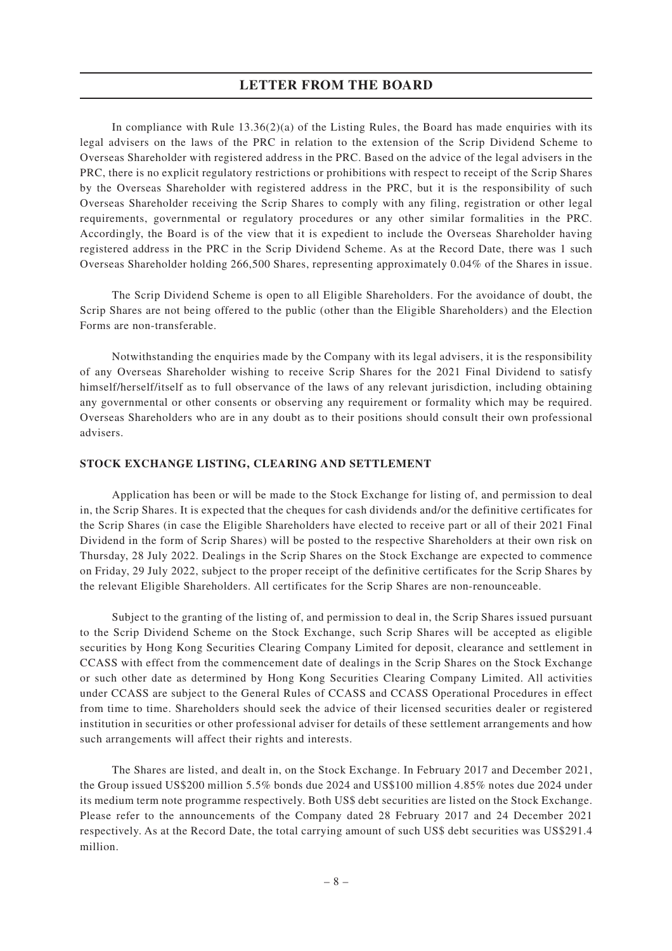In compliance with Rule  $13.36(2)(a)$  of the Listing Rules, the Board has made enquiries with its legal advisers on the laws of the PRC in relation to the extension of the Scrip Dividend Scheme to Overseas Shareholder with registered address in the PRC. Based on the advice of the legal advisers in the PRC, there is no explicit regulatory restrictions or prohibitions with respect to receipt of the Scrip Shares by the Overseas Shareholder with registered address in the PRC, but it is the responsibility of such Overseas Shareholder receiving the Scrip Shares to comply with any filing, registration or other legal requirements, governmental or regulatory procedures or any other similar formalities in the PRC. Accordingly, the Board is of the view that it is expedient to include the Overseas Shareholder having registered address in the PRC in the Scrip Dividend Scheme. As at the Record Date, there was 1 such Overseas Shareholder holding 266,500 Shares, representing approximately 0.04% of the Shares in issue.

The Scrip Dividend Scheme is open to all Eligible Shareholders. For the avoidance of doubt, the Scrip Shares are not being offered to the public (other than the Eligible Shareholders) and the Election Forms are non-transferable.

Notwithstanding the enquiries made by the Company with its legal advisers, it is the responsibility of any Overseas Shareholder wishing to receive Scrip Shares for the 2021 Final Dividend to satisfy himself/herself/itself as to full observance of the laws of any relevant jurisdiction, including obtaining any governmental or other consents or observing any requirement or formality which may be required. Overseas Shareholders who are in any doubt as to their positions should consult their own professional advisers.

### **STOCK EXCHANGE LISTING, CLEARING AND SETTLEMENT**

Application has been or will be made to the Stock Exchange for listing of, and permission to deal in, the Scrip Shares. It is expected that the cheques for cash dividends and/or the definitive certificates for the Scrip Shares (in case the Eligible Shareholders have elected to receive part or all of their 2021 Final Dividend in the form of Scrip Shares) will be posted to the respective Shareholders at their own risk on Thursday, 28 July 2022. Dealings in the Scrip Shares on the Stock Exchange are expected to commence on Friday, 29 July 2022, subject to the proper receipt of the definitive certificates for the Scrip Shares by the relevant Eligible Shareholders. All certificates for the Scrip Shares are non-renounceable.

Subject to the granting of the listing of, and permission to deal in, the Scrip Shares issued pursuant to the Scrip Dividend Scheme on the Stock Exchange, such Scrip Shares will be accepted as eligible securities by Hong Kong Securities Clearing Company Limited for deposit, clearance and settlement in CCASS with effect from the commencement date of dealings in the Scrip Shares on the Stock Exchange or such other date as determined by Hong Kong Securities Clearing Company Limited. All activities under CCASS are subject to the General Rules of CCASS and CCASS Operational Procedures in effect from time to time. Shareholders should seek the advice of their licensed securities dealer or registered institution in securities or other professional adviser for details of these settlement arrangements and how such arrangements will affect their rights and interests.

The Shares are listed, and dealt in, on the Stock Exchange. In February 2017 and December 2021, the Group issued US\$200 million 5.5% bonds due 2024 and US\$100 million 4.85% notes due 2024 under its medium term note programme respectively. Both US\$ debt securities are listed on the Stock Exchange. Please refer to the announcements of the Company dated 28 February 2017 and 24 December 2021 respectively. As at the Record Date, the total carrying amount of such US\$ debt securities was US\$291.4 million.